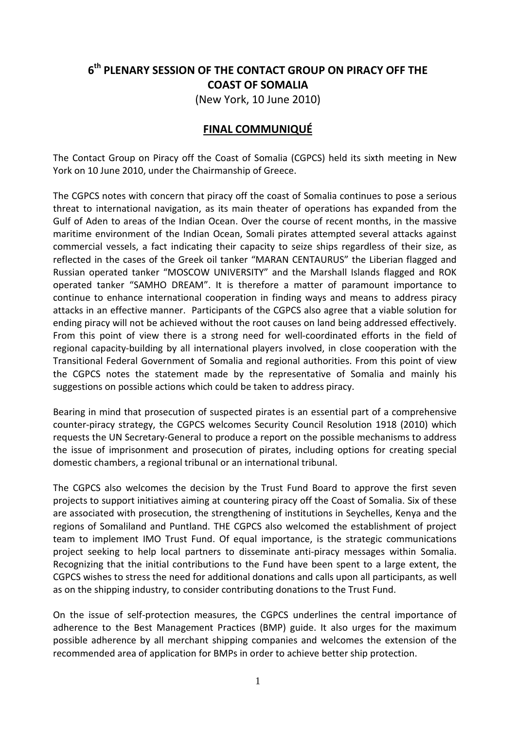## **6th PLENARY SESSION OF THE CONTACT GROUP ON PIRACY OFF THE COAST OF SOMALIA**

(New York, 10 June 2010)

## **FINAL COMMUNIQUÉ**

The Contact Group on Piracy off the Coast of Somalia (CGPCS) held its sixth meeting in New York on 10 June 2010, under the Chairmanship of Greece.

The CGPCS notes with concern that piracy off the coast of Somalia continues to pose a serious threat to international navigation, as its main theater of operations has expanded from the Gulf of Aden to areas of the Indian Ocean. Over the course of recent months, in the massive maritime environment of the Indian Ocean, Somali pirates attempted several attacks against commercial vessels, a fact indicating their capacity to seize ships regardless of their size, as reflected in the cases of the Greek oil tanker "MARAN CENTAURUS" the Liberian flagged and Russian operated tanker "MOSCOW UNIVERSITY" and the Marshall Islands flagged and ROK operated tanker "SAMHO DREAM". It is therefore a matter of paramount importance to continue to enhance international cooperation in finding ways and means to address piracy attacks in an effective manner. Participants of the CGPCS also agree that a viable solution for ending piracy will not be achieved without the root causes on land being addressed effectively. From this point of view there is a strong need for well-coordinated efforts in the field of regional capacity-building by all international players involved, in close cooperation with the Transitional Federal Government of Somalia and regional authorities. From this point of view the CGPCS notes the statement made by the representative of Somalia and mainly his suggestions on possible actions which could be taken to address piracy.

Bearing in mind that prosecution of suspected pirates is an essential part of a comprehensive counter-piracy strategy, the CGPCS welcomes Security Council Resolution 1918 (2010) which requests the UN Secretary-General to produce a report on the possible mechanisms to address the issue of imprisonment and prosecution of pirates, including options for creating special domestic chambers, a regional tribunal or an international tribunal.

The CGPCS also welcomes the decision by the Trust Fund Board to approve the first seven projects to support initiatives aiming at countering piracy off the Coast of Somalia. Six of these are associated with prosecution, the strengthening of institutions in Seychelles, Kenya and the regions of Somaliland and Puntland. THE CGPCS also welcomed the establishment of project team to implement IMO Trust Fund. Of equal importance, is the strategic communications project seeking to help local partners to disseminate anti-piracy messages within Somalia. Recognizing that the initial contributions to the Fund have been spent to a large extent, the CGPCS wishes to stress the need for additional donations and calls upon all participants, as well as on the shipping industry, to consider contributing donations to the Trust Fund.

On the issue of self-protection measures, the CGPCS underlines the central importance of adherence to the Best Management Practices (BMP) guide. It also urges for the maximum possible adherence by all merchant shipping companies and welcomes the extension of the recommended area of application for BMPs in order to achieve better ship protection.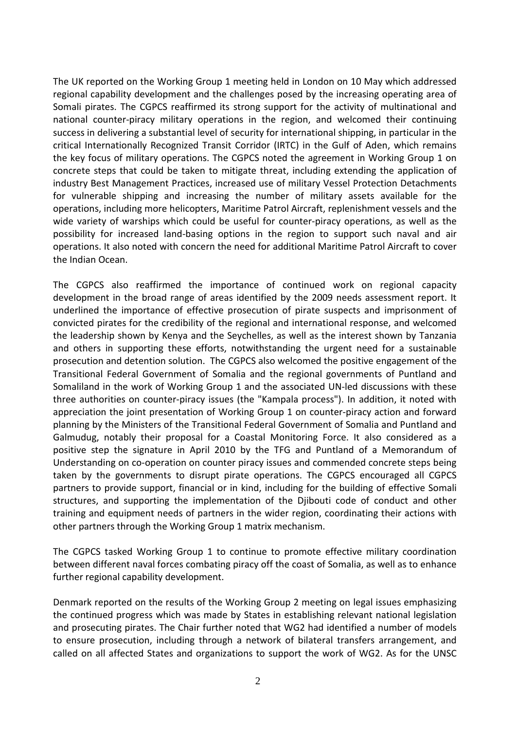The UK reported on the Working Group 1 meeting held in London on 10 May which addressed regional capability development and the challenges posed by the increasing operating area of Somali pirates. The CGPCS reaffirmed its strong support for the activity of multinational and national counter-piracy military operations in the region, and welcomed their continuing success in delivering a substantial level of security for international shipping, in particular in the critical Internationally Recognized Transit Corridor (IRTC) in the Gulf of Aden, which remains the key focus of military operations. The CGPCS noted the agreement in Working Group 1 on concrete steps that could be taken to mitigate threat, including extending the application of industry Best Management Practices, increased use of military Vessel Protection Detachments for vulnerable shipping and increasing the number of military assets available for the operations, including more helicopters, Maritime Patrol Aircraft, replenishment vessels and the wide variety of warships which could be useful for counter-piracy operations, as well as the possibility for increased land-basing options in the region to support such naval and air operations. It also noted with concern the need for additional Maritime Patrol Aircraft to cover the Indian Ocean.

The CGPCS also reaffirmed the importance of continued work on regional capacity development in the broad range of areas identified by the 2009 needs assessment report. It underlined the importance of effective prosecution of pirate suspects and imprisonment of convicted pirates for the credibility of the regional and international response, and welcomed the leadership shown by Kenya and the Seychelles, as well as the interest shown by Tanzania and others in supporting these efforts, notwithstanding the urgent need for a sustainable prosecution and detention solution. The CGPCS also welcomed the positive engagement of the Transitional Federal Government of Somalia and the regional governments of Puntland and Somaliland in the work of Working Group 1 and the associated UN-led discussions with these three authorities on counter-piracy issues (the "Kampala process"). In addition, it noted with appreciation the joint presentation of Working Group 1 on counter-piracy action and forward planning by the Ministers of the Transitional Federal Government of Somalia and Puntland and Galmudug, notably their proposal for a Coastal Monitoring Force. It also considered as a positive step the signature in April 2010 by the TFG and Puntland of a Memorandum of Understanding on co-operation on counter piracy issues and commended concrete steps being taken by the governments to disrupt pirate operations. The CGPCS encouraged all CGPCS partners to provide support, financial or in kind, including for the building of effective Somali structures, and supporting the implementation of the Djibouti code of conduct and other training and equipment needs of partners in the wider region, coordinating their actions with other partners through the Working Group 1 matrix mechanism.

The CGPCS tasked Working Group 1 to continue to promote effective military coordination between different naval forces combating piracy off the coast of Somalia, as well as to enhance further regional capability development.

Denmark reported on the results of the Working Group 2 meeting on legal issues emphasizing the continued progress which was made by States in establishing relevant national legislation and prosecuting pirates. The Chair further noted that WG2 had identified a number of models to ensure prosecution, including through a network of bilateral transfers arrangement, and called on all affected States and organizations to support the work of WG2. As for the UNSC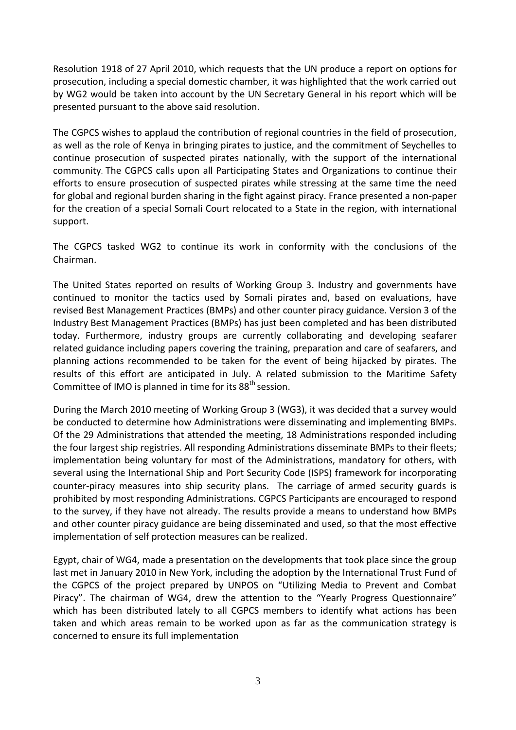Resolution 1918 of 27 April 2010, which requests that the UN produce a report on options for prosecution, including a special domestic chamber, it was highlighted that the work carried out by WG2 would be taken into account by the UN Secretary General in his report which will be presented pursuant to the above said resolution.

The CGPCS wishes to applaud the contribution of regional countries in the field of prosecution, as well as the role of Kenya in bringing pirates to justice, and the commitment of Seychelles to continue prosecution of suspected pirates nationally, with the support of the international community. The CGPCS calls upon all Participating States and Organizations to continue their efforts to ensure prosecution of suspected pirates while stressing at the same time the need for global and regional burden sharing in the fight against piracy. France presented a non-paper for the creation of a special Somali Court relocated to a State in the region, with international support.

The CGPCS tasked WG2 to continue its work in conformity with the conclusions of the Chairman.

The United States reported on results of Working Group 3. Industry and governments have continued to monitor the tactics used by Somali pirates and, based on evaluations, have revised Best Management Practices (BMPs) and other counter piracy guidance. Version 3 of the Industry Best Management Practices (BMPs) has just been completed and has been distributed today. Furthermore, industry groups are currently collaborating and developing seafarer related guidance including papers covering the training, preparation and care of seafarers, and planning actions recommended to be taken for the event of being hijacked by pirates. The results of this effort are anticipated in July. A related submission to the Maritime Safety Committee of IMO is planned in time for its 88<sup>th</sup> session.

During the March 2010 meeting of Working Group 3 (WG3), it was decided that a survey would be conducted to determine how Administrations were disseminating and implementing BMPs. Of the 29 Administrations that attended the meeting, 18 Administrations responded including the four largest ship registries. All responding Administrations disseminate BMPs to their fleets; implementation being voluntary for most of the Administrations, mandatory for others, with several using the International Ship and Port Security Code (ISPS) framework for incorporating counter-piracy measures into ship security plans. The carriage of armed security guards is prohibited by most responding Administrations. CGPCS Participants are encouraged to respond to the survey, if they have not already. The results provide a means to understand how BMPs and other counter piracy guidance are being disseminated and used, so that the most effective implementation of self protection measures can be realized.

Egypt, chair of WG4, made a presentation on the developments that took place since the group last met in January 2010 in New York, including the adoption by the International Trust Fund of the CGPCS of the project prepared by UNPOS on "Utilizing Media to Prevent and Combat Piracy". The chairman of WG4, drew the attention to the "Yearly Progress Questionnaire" which has been distributed lately to all CGPCS members to identify what actions has been taken and which areas remain to be worked upon as far as the communication strategy is concerned to ensure its full implementation